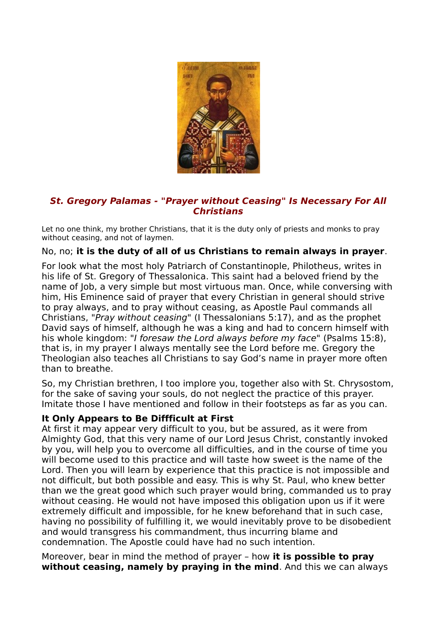

## **St. Gregory Palamas - "Prayer without Ceasing" Is Necessary For All Christians**

Let no one think, my brother Christians, that it is the duty only of priests and monks to pray without ceasing, and not of laymen.

## No, no; **it is the duty of all of us Christians to remain always in prayer**.

For look what the most holy Patriarch of Constantinople, Philotheus, writes in his life of St. Gregory of Thessalonica. This saint had a beloved friend by the name of Job, a very simple but most virtuous man. Once, while conversing with him, His Eminence said of prayer that every Christian in general should strive to pray always, and to pray without ceasing, as Apostle Paul commands all Christians, "Pray without ceasing" (I Thessalonians 5:17), and as the prophet David says of himself, although he was a king and had to concern himself with his whole kingdom: "I foresaw the Lord always before my face" (Psalms 15:8), that is, in my prayer I always mentally see the Lord before me. Gregory the Theologian also teaches all Christians to say God's name in prayer more often than to breathe.

So, my Christian brethren, I too implore you, together also with St. Chrysostom, for the sake of saving your souls, do not neglect the practice of this prayer. Imitate those I have mentioned and follow in their footsteps as far as you can.

## **It Only Appears to Be Diffficult at First**

At first it may appear very difficult to you, but be assured, as it were from Almighty God, that this very name of our Lord Jesus Christ, constantly invoked by you, will help you to overcome all difficulties, and in the course of time you will become used to this practice and will taste how sweet is the name of the Lord. Then you will learn by experience that this practice is not impossible and not difficult, but both possible and easy. This is why St. Paul, who knew better than we the great good which such prayer would bring, commanded us to pray without ceasing. He would not have imposed this obligation upon us if it were extremely difficult and impossible, for he knew beforehand that in such case, having no possibility of fulfilling it, we would inevitably prove to be disobedient and would transgress his commandment, thus incurring blame and condemnation. The Apostle could have had no such intention.

Moreover, bear in mind the method of prayer – how **it is possible to pray without ceasing, namely by praying in the mind**. And this we can always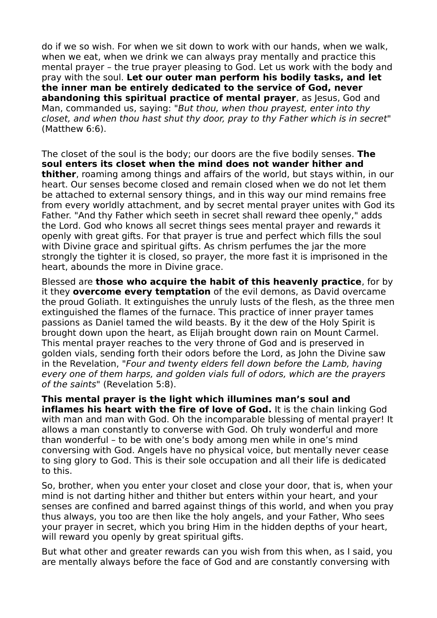do if we so wish. For when we sit down to work with our hands, when we walk, when we eat, when we drink we can always pray mentally and practice this mental prayer – the true prayer pleasing to God. Let us work with the body and pray with the soul. **Let our outer man perform his bodily tasks, and let the inner man be entirely dedicated to the service of God, never abandoning this spiritual practice of mental prayer**, as Jesus, God and Man, commanded us, saying: "But thou, when thou prayest, enter into thy closet, and when thou hast shut thy door, pray to thy Father which is in secret" (Matthew 6:6).

The closet of the soul is the body; our doors are the five bodily senses. **The soul enters its closet when the mind does not wander hither and thither**, roaming among things and affairs of the world, but stays within, in our heart. Our senses become closed and remain closed when we do not let them be attached to external sensory things, and in this way our mind remains free from every worldly attachment, and by secret mental prayer unites with God its Father. "And thy Father which seeth in secret shall reward thee openly," adds the Lord. God who knows all secret things sees mental prayer and rewards it openly with great gifts. For that prayer is true and perfect which fills the soul with Divine grace and spiritual gifts. As chrism perfumes the jar the more strongly the tighter it is closed, so prayer, the more fast it is imprisoned in the heart, abounds the more in Divine grace.

Blessed are **those who acquire the habit of this heavenly practice**, for by it they **overcome every temptation** of the evil demons, as David overcame the proud Goliath. It extinguishes the unruly lusts of the flesh, as the three men extinguished the flames of the furnace. This practice of inner prayer tames passions as Daniel tamed the wild beasts. By it the dew of the Holy Spirit is brought down upon the heart, as Elijah brought down rain on Mount Carmel. This mental prayer reaches to the very throne of God and is preserved in golden vials, sending forth their odors before the Lord, as John the Divine saw in the Revelation, "Four and twenty elders fell down before the Lamb, having every one of them harps, and golden vials full of odors, which are the prayers of the saints" (Revelation 5:8).

**This mental prayer is the light which illumines man's soul and inflames his heart with the fire of love of God.** It is the chain linking God with man and man with God. Oh the incomparable blessing of mental prayer! It allows a man constantly to converse with God. Oh truly wonderful and more than wonderful – to be with one's body among men while in one's mind conversing with God. Angels have no physical voice, but mentally never cease to sing glory to God. This is their sole occupation and all their life is dedicated to this.

So, brother, when you enter your closet and close your door, that is, when your mind is not darting hither and thither but enters within your heart, and your senses are confined and barred against things of this world, and when you pray thus always, you too are then like the holy angels, and your Father, Who sees your prayer in secret, which you bring Him in the hidden depths of your heart, will reward you openly by great spiritual gifts.

But what other and greater rewards can you wish from this when, as I said, you are mentally always before the face of God and are constantly conversing with